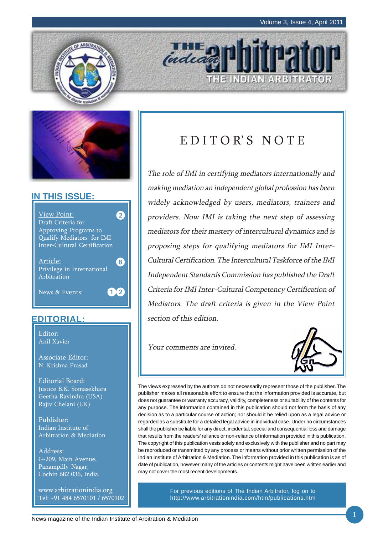



## **IN THIS ISSUE:**



## **EDITORIAL:**

Editor: Anil Xavier

Associate Editor: N. Krishna Prasad

Editorial Board: Justice B.K. Somasekhara Geetha Ravindra (USA) Rajiv Chelani (UK)

Publisher: Indian Institute of Arbitration & Mediation

Address: G-209, Main Avenue, Panampilly Nagar, Cochin 682 036, India.

www.arbitrationindia.org Tel: +91 484 6570101 / 6570102

## EDITOR'S NOTE

THE INDIAN ARBITRATOR

The role of IMI in certifying mediators internationally and making mediation an independent global profession has been widely acknowledged by users, mediators, trainers and providers. Now IMI is taking the next step of assessing mediators for their mastery of intercultural dynamics and is proposing steps for qualifying mediators for IMI Inter-Cultural Certification. The Intercultural Taskforce of the IMI Independent Standards Commission has published the Draft Criteria for IMI Inter-Cultural Competency Certification of Mediators. The draft criteria is given in the View Point section of this edition.

Your comments are invited.

inded



The views expressed by the authors do not necessarily represent those of the publisher. The publisher makes all reasonable effort to ensure that the information provided is accurate, but does not guarantee or warranty accuracy, validity, completeness or suitability of the contents for any purpose. The information contained in this publication should not form the basis of any decision as to a particular course of action; nor should it be relied upon as a legal advice or regarded as a substitute for a detailed legal advice in individual case. Under no circumstances shall the publisher be liable for any direct, incidental, special and consequential loss and damage that results from the readers' reliance or non-reliance of information provided in this publication. The copyright of this publication vests solely and exclusively with the publisher and no part may be reproduced or transmitted by any process or means without prior written permission of the Indian Institute of Arbitration & Mediation. The information provided in this publication is as of date of publication, however many of the articles or contents might have been written earlier and may not cover the most recent developments.

> For previous editions of The Indian Arbitrator, log on to http://www.arbitrationindia.com/htm/publications.htm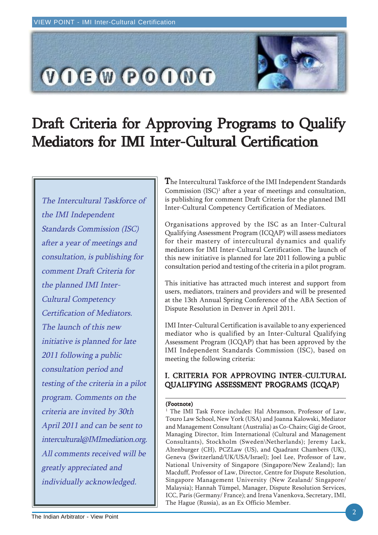

# Draft Criteria for Approving Programs to Qualify Mediators for IMI Inter-Cultural Certification

The Intercultural Taskforce of the IMI Independent Standards Commission (ISC) after a year of meetings and consultation, is publishing for comment Draft Criteria for the planned IMI Inter-Cultural Competency Certification of Mediators. The launch of this new initiative is planned for late 2011 following a public consultation period and testing of the criteria in a pilot program. Comments on the criteria are invited by 30th April 2011 and can be sent to intercultural@IMImediation.org. All comments received will be greatly appreciated and individually acknowledged.

The Intercultural Taskforce of the IMI Independent Standards Commission (ISC)<sup>1</sup> after a year of meetings and consultation, is publishing for comment Draft Criteria for the planned IMI Inter-Cultural Competency Certification of Mediators.

Organisations approved by the ISC as an Inter-Cultural Qualifying Assessment Program (ICQAP) will assess mediators for their mastery of intercultural dynamics and qualify mediators for IMI Inter-Cultural Certification. The launch of this new initiative is planned for late 2011 following a public consultation period and testing of the criteria in a pilot program.

This initiative has attracted much interest and support from users, mediators, trainers and providers and will be presented at the 13th Annual Spring Conference of the ABA Section of Dispute Resolution in Denver in April 2011.

IMI Inter-Cultural Certification is available to any experienced mediator who is qualified by an Inter-Cultural Qualifying Assessment Program (ICQAP) that has been approved by the IMI Independent Standards Commission (ISC), based on meeting the following criteria:

## I. CRITERIA FOR APPROVING INTER-CULTURAL QUALIFYING ASSESSMENT PROGRAMS (ICQAP)

### (Footnote)

<sup>1</sup> The IMI Task Force includes: Hal Abramson, Professor of Law, Touro Law School, New York (USA) and Joanna Kalowski, Mediator and Management Consultant (Australia) as Co-Chairs; Gigi de Groot, Managing Director, Itim International (Cultural and Management Consultants), Stockholm (Sweden\Netherlands); Jeremy Lack, Altenburger (CH), PCZLaw (US), and Quadrant Chambers (UK), Geneva (Switzerland/UK/USA/Israel); Joel Lee, Professor of Law, National University of Singapore (Singapore/New Zealand); Ian Macduff, Professor of Law, Director, Centre for Dispute Resolution, Singapore Management University (New Zealand/ Singapore/ Malaysia); Hannah Tümpel, Manager, Dispute Resolution Services, ICC, Paris (Germany/ France); and Irena Vanenkova, Secretary, IMI, The Hague (Russia), as an Ex Officio Member.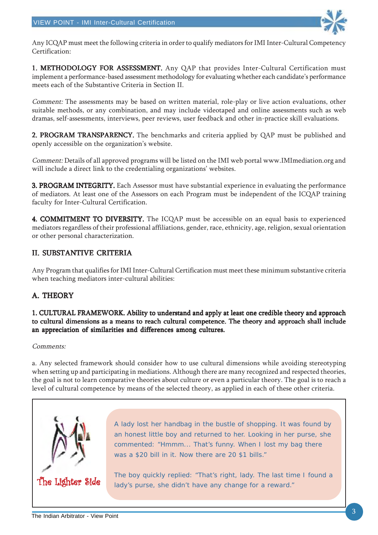

Any ICQAP must meet the following criteria in order to qualify mediators for IMI Inter-Cultural Competency Certification:

1. METHODOLOGY FOR ASSESSMENT. Any QAP that provides Inter-Cultural Certification must implement a performance-based assessment methodology for evaluating whether each candidate's performance meets each of the Substantive Criteria in Section II.

Comment: The assessments may be based on written material, role-play or live action evaluations, other suitable methods, or any combination, and may include videotaped and online assessments such as web dramas, self-assessments, interviews, peer reviews, user feedback and other in-practice skill evaluations.

2. PROGRAM TRANSPARENCY. The benchmarks and criteria applied by QAP must be published and openly accessible on the organization's website.

Comment: Details of all approved programs will be listed on the IMI web portal www.IMImediation.org and will include a direct link to the credentialing organizations' websites.

**3. PROGRAM INTEGRITY.** Each Assessor must have substantial experience in evaluating the performance of mediators. At least one of the Assessors on each Program must be independent of the ICQAP training faculty for Inter-Cultural Certification.

4. COMMITMENT TO DIVERSITY. The ICOAP must be accessible on an equal basis to experienced mediators regardless of their professional affiliations, gender, race, ethnicity, age, religion, sexual orientation or other personal characterization.

## II. SUBSTANTIVE CRITERIA

Any Program that qualifies for IMI Inter-Cultural Certification must meet these minimum substantive criteria when teaching mediators inter-cultural abilities:

## A. THEORY

### 1. CULTURAL FRAMEWORK. Ability to understand and apply at least one credible theory and approach to cultural dimensions as a means to reach cultural competence. The theory and approach shall include an appreciation of similarities and differences among cultures.

#### Comments:

a. Any selected framework should consider how to use cultural dimensions while avoiding stereotyping when setting up and participating in mediations. Although there are many recognized and respected theories, the goal is not to learn comparative theories about culture or even a particular theory. The goal is to reach a level of cultural competence by means of the selected theory, as applied in each of these other criteria.



A lady lost her handbag in the bustle of shopping. It was found by an honest little boy and returned to her. Looking in her purse, she commented: "Hmmm... That's funny. When I lost my bag there was a \$20 bill in it. Now there are 20 \$1 bills."

The boy quickly replied: "That's right, lady. The last time I found a lady's purse, she didn't have any change for a reward."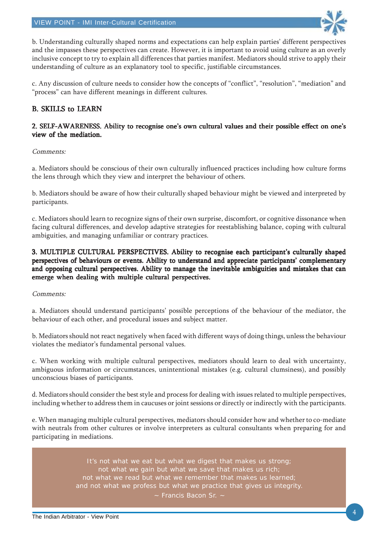

b. Understanding culturally shaped norms and expectations can help explain parties' different perspectives and the impasses these perspectives can create. However, it is important to avoid using culture as an overly inclusive concept to try to explain all differences that parties manifest. Mediators should strive to apply their understanding of culture as an explanatory tool to specific, justifiable circumstances.

c. Any discussion of culture needs to consider how the concepts of "conflict", "resolution", "mediation" and "process" can have different meanings in different cultures.

## B. SKILLS to LEARN

#### 2. SELF-AWARENESS. Ability to recognise one's own cultural values and their possible effect on one's view of the mediation.

#### Comments:

a. Mediators should be conscious of their own culturally influenced practices including how culture forms the lens through which they view and interpret the behaviour of others.

b. Mediators should be aware of how their culturally shaped behaviour might be viewed and interpreted by participants.

c. Mediators should learn to recognize signs of their own surprise, discomfort, or cognitive dissonance when facing cultural differences, and develop adaptive strategies for reestablishing balance, coping with cultural ambiguities, and managing unfamiliar or contrary practices.

#### 3. MULTIPLE CULTURAL PERSPECTIVES. Ability to recognise each participant's culturally shaped perspectives of behaviours or events. Ability to understand and appreciate participants' complementary and opposing cultural perspectives. Ability to manage the inevitable ambiguities and mistakes that can emerge when dealing with multiple cultural perspectives.

#### Comments:

a. Mediators should understand participants' possible perceptions of the behaviour of the mediator, the behaviour of each other, and procedural issues and subject matter.

b. Mediators should not react negatively when faced with different ways of doing things, unless the behaviour violates the mediator's fundamental personal values.

c. When working with multiple cultural perspectives, mediators should learn to deal with uncertainty, ambiguous information or circumstances, unintentional mistakes (e.g. cultural clumsiness), and possibly unconscious biases of participants.

d. Mediators should consider the best style and process for dealing with issues related to multiple perspectives, including whether to address them in caucuses or joint sessions or directly or indirectly with the participants.

e. When managing multiple cultural perspectives, mediators should consider how and whether to co-mediate with neutrals from other cultures or involve interpreters as cultural consultants when preparing for and participating in mediations.

> It's not what we eat but what we digest that makes us strong; not what we gain but what we save that makes us rich; not what we read but what we remember that makes us learned and not what we profess but what we practice that gives us integrity. ~ Francis Bacon Sr. ~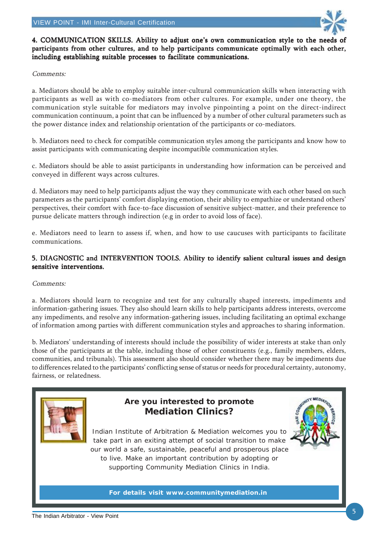

4. COMMUNICATION SKILLS. Ability to adjust one's own communication style to the needs of participants from other cultures, and to help participants communicate optimally with each other, including establishing suitable processes to facilitate communications.

#### Comments:

a. Mediators should be able to employ suitable inter-cultural communication skills when interacting with participants as well as with co-mediators from other cultures. For example, under one theory, the communication style suitable for mediators may involve pinpointing a point on the direct-indirect communication continuum, a point that can be influenced by a number of other cultural parameters such as the power distance index and relationship orientation of the participants or co-mediators.

b. Mediators need to check for compatible communication styles among the participants and know how to assist participants with communicating despite incompatible communication styles.

c. Mediators should be able to assist participants in understanding how information can be perceived and conveyed in different ways across cultures.

d. Mediators may need to help participants adjust the way they communicate with each other based on such parameters as the participants' comfort displaying emotion, their ability to empathize or understand others' perspectives, their comfort with face-to-face discussion of sensitive subject-matter, and their preference to pursue delicate matters through indirection (e.g in order to avoid loss of face).

e. Mediators need to learn to assess if, when, and how to use caucuses with participants to facilitate communications.

#### 5. DIAGNOSTIC and INTERVENTION TOOLS. Ability to identify salient cultural issues and design sensitive interventions.

#### Comments:

a. Mediators should learn to recognize and test for any culturally shaped interests, impediments and information-gathering issues. They also should learn skills to help participants address interests, overcome any impediments, and resolve any information-gathering issues, including facilitating an optimal exchange of information among parties with different communication styles and approaches to sharing information.

b. Mediators' understanding of interests should include the possibility of wider interests at stake than only those of the participants at the table, including those of other constituents (e.g., family members, elders, communities, and tribunals). This assessment also should consider whether there may be impediments due to differences related to the participants' conflicting sense of status or needs for procedural certainty, autonomy, fairness, or relatedness.



## **Are you interested to promote Mediation Clinics?**



Indian Institute of Arbitration & Mediation welcomes you to take part in an exiting attempt of social transition to make our world a safe, sustainable, peaceful and prosperous place to live. Make an important contribution by adopting or supporting Community Mediation Clinics in India.

**For details visit www.communitymediation.in**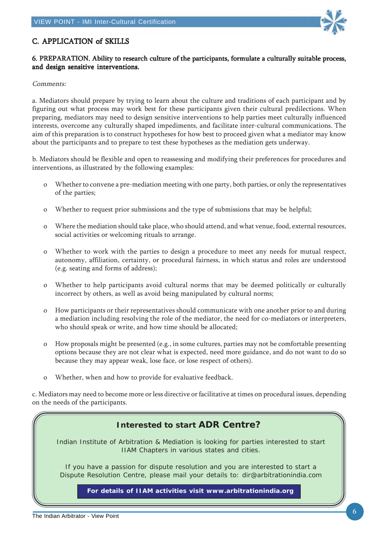

## C. APPLICATION of SKILLS

### 6. PREPARATION. Ability to research culture of the participants, formulate a culturally suitable process, and design sensitive interventions.

#### Comments:

a. Mediators should prepare by trying to learn about the culture and traditions of each participant and by figuring out what process may work best for these participants given their cultural predilections. When preparing, mediators may need to design sensitive interventions to help parties meet culturally influenced interests, overcome any culturally shaped impediments, and facilitate inter-cultural communications. The aim of this preparation is to construct hypotheses for how best to proceed given what a mediator may know about the participants and to prepare to test these hypotheses as the mediation gets underway.

b. Mediators should be flexible and open to reassessing and modifying their preferences for procedures and interventions, as illustrated by the following examples:

- o Whether to convene a pre-mediation meeting with one party, both parties, or only the representatives of the parties;
- o Whether to request prior submissions and the type of submissions that may be helpful;
- o Where the mediation should take place, who should attend, and what venue, food, external resources, social activities or welcoming rituals to arrange.
- o Whether to work with the parties to design a procedure to meet any needs for mutual respect, autonomy, affiliation, certainty, or procedural fairness, in which status and roles are understood (e.g. seating and forms of address);
- o Whether to help participants avoid cultural norms that may be deemed politically or culturally incorrect by others, as well as avoid being manipulated by cultural norms;
- o How participants or their representatives should communicate with one another prior to and during a mediation including resolving the role of the mediator, the need for co-mediators or interpreters, who should speak or write, and how time should be allocated;
- o How proposals might be presented (e.g., in some cultures, parties may not be comfortable presenting options because they are not clear what is expected, need more guidance, and do not want to do so because they may appear weak, lose face, or lose respect of others).
- o Whether, when and how to provide for evaluative feedback.

c. Mediators may need to become more or less directive or facilitative at times on procedural issues, depending on the needs of the participants.

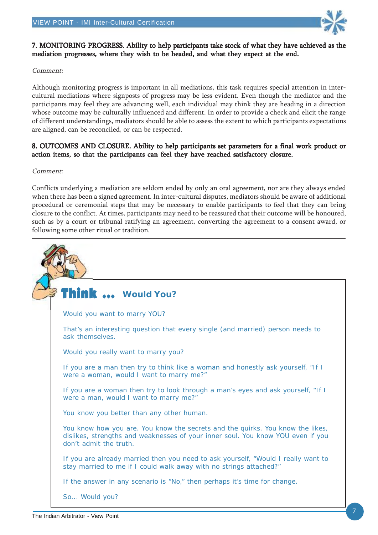

### 7. MONITORING PROGRESS. Ability to help participants take stock of what they have achieved as the mediation progresses, where they wish to be headed, and what they expect at the end.

#### Comment:

Although monitoring progress is important in all mediations, this task requires special attention in intercultural mediations where signposts of progress may be less evident. Even though the mediator and the participants may feel they are advancing well, each individual may think they are heading in a direction whose outcome may be culturally influenced and different. In order to provide a check and elicit the range of different understandings, mediators should be able to assess the extent to which participants expectations are aligned, can be reconciled, or can be respected.

#### 8. OUTCOMES AND CLOSURE. Ability to help participants set parameters for a final work product or action items, so that the participants can feel they have reached satisfactory closure.

#### Comment:

Conflicts underlying a mediation are seldom ended by only an oral agreement, nor are they always ended when there has been a signed agreement. In inter-cultural disputes, mediators should be aware of additional procedural or ceremonial steps that may be necessary to enable participants to feel that they can bring closure to the conflict. At times, participants may need to be reassured that their outcome will be honoured, such as by a court or tribunal ratifying an agreement, converting the agreement to a consent award, or following some other ritual or tradition.

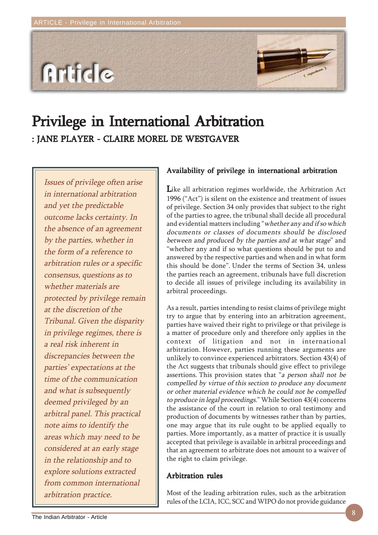

## Privilege in International Arbitration Privilege in International Arbitration : JANE PLAYER - CLAIRE MOREL DE WESTGAVER

Issues of privilege often arise in international arbitration and yet the predictable outcome lacks certainty. In the absence of an agreement by the parties, whether in the form of a reference to arbitration rules or a specific consensus, questions as to whether materials are protected by privilege remain at the discretion of the Tribunal. Given the disparity in privilege regimes, there is a real risk inherent in discrepancies between the parties' expectations at the time of the communication and what is subsequently deemed privileged by an arbitral panel. This practical note aims to identify the areas which may need to be considered at an early stage in the relationship and to explore solutions extracted from common international arbitration practice.

## Availability of privilege in international arbitration

Like all arbitration regimes worldwide, the Arbitration Act 1996 ("Act") is silent on the existence and treatment of issues of privilege. Section 34 only provides that subject to the right of the parties to agree, the tribunal shall decide all procedural and evidential matters including "whether any and if so which documents or classes of documents should be disclosed between and produced by the parties and at what stage" and "whether any and if so what questions should be put to and answered by the respective parties and when and in what form this should be done". Under the terms of Section 34, unless the parties reach an agreement, tribunals have full discretion to decide all issues of privilege including its availability in arbitral proceedings.

As a result, parties intending to resist claims of privilege might try to argue that by entering into an arbitration agreement, parties have waived their right to privilege or that privilege is a matter of procedure only and therefore only applies in the context of litigation and not in international arbitration. However, parties running these arguments are unlikely to convince experienced arbitrators. Section 43(4) of the Act suggests that tribunals should give effect to privilege assertions. This provision states that "a person shall not be compelled by virtue of this section to produce any document or other material evidence which he could not be compelled to produce in legal proceedings." While Section 43(4) concerns the assistance of the court in relation to oral testimony and production of documents by witnesses rather than by parties, one may argue that its rule ought to be applied equally to parties. More importantly, as a matter of practice it is usually accepted that privilege is available in arbitral proceedings and that an agreement to arbitrate does not amount to a waiver of the right to claim privilege.

#### Arbitration rules

Most of the leading arbitration rules, such as the arbitration rules of the LCIA, ICC, SCC and WIPO do not provide guidance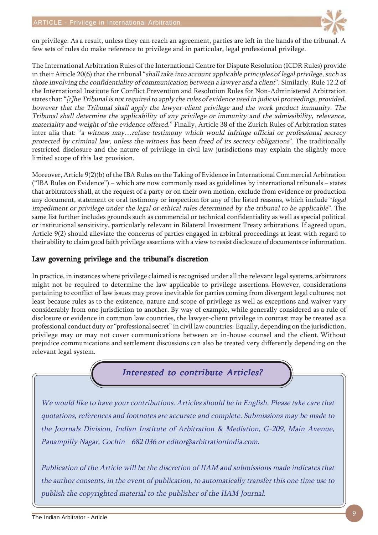

on privilege. As a result, unless they can reach an agreement, parties are left in the hands of the tribunal. A few sets of rules do make reference to privilege and in particular, legal professional privilege.

The International Arbitration Rules of the International Centre for Dispute Resolution (ICDR Rules) provide in their Article 20(6) that the tribunal "shall take into account applicable principles of legal privilege, such as those involving the confidentiality of communication between a lawyer and a client". Similarly, Rule 12.2 of the International Institute for Conflict Prevention and Resolution Rules for Non-Administered Arbitration states that: "[t]he Tribunal is not required to apply the rules of evidence used in judicial proceedings, provided, however that the Tribunal shall apply the lawyer-client privilege and the work product immunity. The Tribunal shall determine the applicability of any privilege or immunity and the admissibility, relevance, materiality and weight of the evidence offered." Finally, Article 38 of the Zurich Rules of Arbitration states inter alia that: "a witness may…refuse testimony which would infringe official or professional secrecy protected by criminal law, unless the witness has been freed of its secrecy obligations". The traditionally restricted disclosure and the nature of privilege in civil law jurisdictions may explain the slightly more limited scope of this last provision.

Moreover, Article 9(2)(b) of the IBA Rules on the Taking of Evidence in International Commercial Arbitration ("IBA Rules on Evidence") – which are now commonly used as guidelines by international tribunals – states that arbitrators shall, at the request of a party or on their own motion, exclude from evidence or production any document, statement or oral testimony or inspection for any of the listed reasons, which include "legal impediment or privilege under the legal or ethical rules determined by the tribunal to be applicable". The same list further includes grounds such as commercial or technical confidentiality as well as special political or institutional sensitivity, particularly relevant in Bilateral Investment Treaty arbitrations. If agreed upon, Article 9(2) should alleviate the concerns of parties engaged in arbitral proceedings at least with regard to their ability to claim good faith privilege assertions with a view to resist disclosure of documents or information.

### Law governing privilege and the tribunal's discretion

In practice, in instances where privilege claimed is recognised under all the relevant legal systems, arbitrators might not be required to determine the law applicable to privilege assertions. However, considerations pertaining to conflict of law issues may prove inevitable for parties coming from divergent legal cultures; not least because rules as to the existence, nature and scope of privilege as well as exceptions and waiver vary considerably from one jurisdiction to another. By way of example, while generally considered as a rule of disclosure or evidence in common law countries, the lawyer-client privilege in contrast may be treated as a professional conduct duty or "professional secret" in civil law countries. Equally, depending on the jurisdiction, privilege may or may not cover communications between an in-house counsel and the client. Without prejudice communications and settlement discussions can also be treated very differently depending on the relevant legal system.

Interested to contribute Articles?

We would like to have your contributions. Articles should be in English. Please take care that quotations, references and footnotes are accurate and complete. Submissions may be made to the Journals Division, Indian Institute of Arbitration & Mediation, G-209, Main Avenue, Panampilly Nagar, Cochin - 682 036 or editor@arbitrationindia.com.

Publication of the Article will be the discretion of IIAM and submissions made indicates that the author consents, in the event of publication, to automatically transfer this one time use to publish the copyrighted material to the publisher of the IIAM Journal.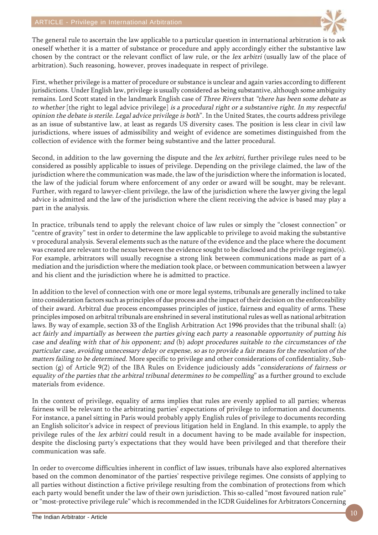

The general rule to ascertain the law applicable to a particular question in international arbitration is to ask oneself whether it is a matter of substance or procedure and apply accordingly either the substantive law chosen by the contract or the relevant conflict of law rule, or the lex arbitri (usually law of the place of arbitration). Such reasoning, however, proves inadequate in respect of privilege.

First, whether privilege is a matter of procedure or substance is unclear and again varies according to different jurisdictions. Under English law, privilege is usually considered as being substantive, although some ambiguity remains. Lord Scott stated in the landmark English case of Three Rivers that "there has been some debate as to whether [the right to legal advice privilege] is a procedural right or a substantive right. In my respectful opinion the debate is sterile. Legal advice privilege is both". In the United States, the courts address privilege as an issue of substantive law, at least as regards US diversity cases. The position is less clear in civil law jurisdictions, where issues of admissibility and weight of evidence are sometimes distinguished from the collection of evidence with the former being substantive and the latter procedural.

Second, in addition to the law governing the dispute and the lex arbitri, further privilege rules need to be considered as possibly applicable to issues of privilege. Depending on the privilege claimed, the law of the jurisdiction where the communication was made, the law of the jurisdiction where the information is located, the law of the judicial forum where enforcement of any order or award will be sought, may be relevant. Further, with regard to lawyer-client privilege, the law of the jurisdiction where the lawyer giving the legal advice is admitted and the law of the jurisdiction where the client receiving the advice is based may play a part in the analysis.

In practice, tribunals tend to apply the relevant choice of law rules or simply the "closest connection" or "centre of gravity" test in order to determine the law applicable to privilege to avoid making the substantive v procedural analysis. Several elements such as the nature of the evidence and the place where the document was created are relevant to the nexus between the evidence sought to be disclosed and the privilege regime(s). For example, arbitrators will usually recognise a strong link between communications made as part of a mediation and the jurisdiction where the mediation took place, or between communication between a lawyer and his client and the jurisdiction where he is admitted to practice.

In addition to the level of connection with one or more legal systems, tribunals are generally inclined to take into consideration factors such as principles of due process and the impact of their decision on the enforceability of their award. Arbitral due process encompasses principles of justice, fairness and equality of arms. These principles imposed on arbitral tribunals are enshrined in several institutional rules as well as national arbitration laws. By way of example, section 33 of the English Arbitration Act 1996 provides that the tribunal shall: (a) act fairly and impartially as between the parties giving each party a reasonable opportunity of putting his case and dealing with that of his opponent; and (b) adopt procedures suitable to the circumstances of the particular case, avoiding unnecessary delay or expense, so as to provide a fair means for the resolution of the matters failing to be determined. More specific to privilege and other considerations of confidentiality, Subsection (g) of Article 9(2) of the IBA Rules on Evidence judiciously adds "considerations of fairness or equality of the parties that the arbitral tribunal determines to be compelling" as a further ground to exclude materials from evidence.

In the context of privilege, equality of arms implies that rules are evenly applied to all parties; whereas fairness will be relevant to the arbitrating parties' expectations of privilege to information and documents. For instance, a panel sitting in Paris would probably apply English rules of privilege to documents recording an English solicitor's advice in respect of previous litigation held in England. In this example, to apply the privilege rules of the lex arbitri could result in a document having to be made available for inspection, despite the disclosing party's expectations that they would have been privileged and that therefore their communication was safe.

In order to overcome difficulties inherent in conflict of law issues, tribunals have also explored alternatives based on the common denominator of the parties' respective privilege regimes. One consists of applying to all parties without distinction a fictive privilege resulting from the combination of protections from which each party would benefit under the law of their own jurisdiction. This so-called "most favoured nation rule" or "most-protective privilege rule" which is recommended in the ICDR Guidelines for Arbitrators Concerning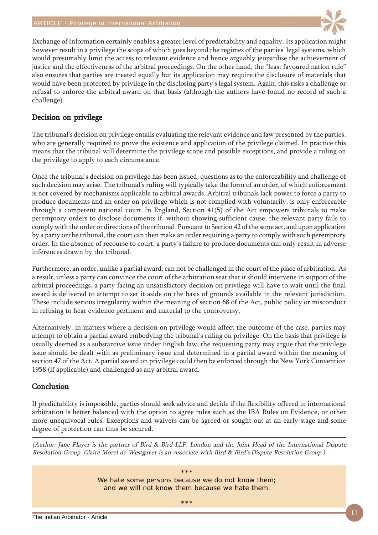

Exchange of Information certainly enables a greater level of predictability and equality. Its application might however result in a privilege the scope of which goes beyond the regimes of the parties' legal systems, which would presumably limit the access to relevant evidence and hence arguably jeopardise the achievement of justice and the effectiveness of the arbitral proceedings. On the other hand, the "least favoured nation rule" also ensures that parties are treated equally but its application may require the disclosure of materials that would have been protected by privilege in the disclosing party's legal system. Again, this risks a challenge or refusal to enforce the arbitral award on that basis (although the authors have found no record of such a challenge).

## Decision on privilege

The tribunal's decision on privilege entails evaluating the relevant evidence and law presented by the parties, who are generally required to prove the existence and application of the privilege claimed. In practice this means that the tribunal will determine the privilege scope and possible exceptions, and provide a ruling on the privilege to apply to each circumstance.

Once the tribunal's decision on privilege has been issued, questions as to the enforceability and challenge of such decision may arise. The tribunal's ruling will typically take the form of an order, of which enforcement is not covered by mechanisms applicable to arbitral awards. Arbitral tribunals lack power to force a party to produce documents and an order on privilege which is not complied with voluntarily, is only enforceable through a competent national court. In England, Section 41(5) of the Act empowers tribunals to make peremptory orders to disclose documents if, without showing sufficient cause, the relevant party fails to comply with the order or directions of the tribunal. Pursuant to Section 42 of the same act, and upon application by a party or the tribunal, the court can then make an order requiring a party to comply with such peremptory order. In the absence of recourse to court, a party's failure to produce documents can only result in adverse inferences drawn by the tribunal.

Furthermore, an order, unlike a partial award, can not be challenged in the court of the place of arbitration. As a result, unless a party can convince the court of the arbitration seat that it should intervene in support of the arbitral proceedings, a party facing an unsatisfactory decision on privilege will have to wait until the final award is delivered to attempt to set it aside on the basis of grounds available in the relevant jurisdiction. These include serious irregularity within the meaning of section 68 of the Act, public policy or misconduct in refusing to hear evidence pertinent and material to the controversy.

Alternatively, in matters where a decision on privilege would affect the outcome of the case, parties may attempt to obtain a partial award embodying the tribunal's ruling on privilege. On the basis that privilege is usually deemed as a substantive issue under English law, the requesting party may argue that the privilege issue should be dealt with as preliminary issue and determined in a partial award within the meaning of section 47 of the Act. A partial award on privilege could then be enforced through the New York Convention 1958 (if applicable) and challenged as any arbitral award.

### Conclusion

If predictability is impossible, parties should seek advice and decide if the flexibility offered in international arbitration is better balanced with the option to agree rules such as the IBA Rules on Evidence, or other more unequivocal rules. Exceptions and waivers can be agreed or sought out at an early stage and some degree of protection can thus be secured.

(Author: Jane Player is the partner of Bird & Bird LLP, London and the Joint Head of the International Dispute Resolution Group. Claire Morel de Westgaver is an Associate with Bird & Bird's Dispute Resolution Group.)

> \*\*\* We hate some persons because we do not know them; and we will not know them because we hate them.